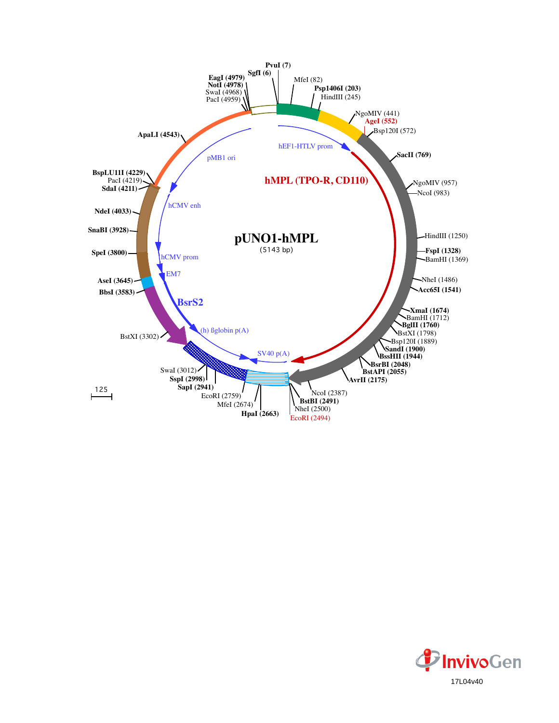

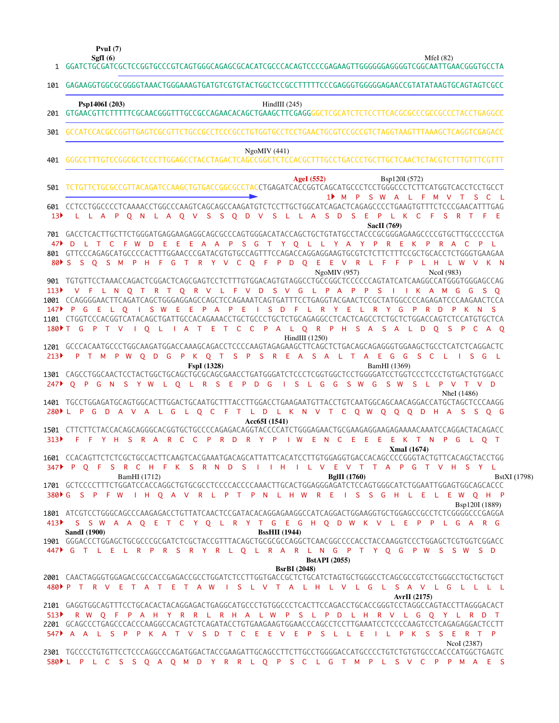**PvuI (7)**

|                 | 101 GAGAAGGTGGCGCGGGGTAAACTGGGAAAGTGATGTCGTGTACTGGCTCCGCCTTTTTCCCGAGGGTGGGGAGAACCGTATATAAGTGCAGTAGTCGCC                                                                                                                                                                                                                                                                                                                                                                                                  |
|-----------------|----------------------------------------------------------------------------------------------------------------------------------------------------------------------------------------------------------------------------------------------------------------------------------------------------------------------------------------------------------------------------------------------------------------------------------------------------------------------------------------------------------|
|                 | HindIII $(245)$<br>Psp1406I (203)                                                                                                                                                                                                                                                                                                                                                                                                                                                                        |
| 301             | GCCATCCACGCCGGTTGAGTCGCGTTCTGCCGCCTCCCGGCCTGTGGTGCCTCCTGAACTGCGTCCGCCGTCTAGGTAAGTTTAAAGCTCAGGTCGAGACC                                                                                                                                                                                                                                                                                                                                                                                                    |
| 401             | NgoMIV(441)                                                                                                                                                                                                                                                                                                                                                                                                                                                                                              |
| 501             | <b>AgeI</b> (552)<br>Bsp120I (572)<br>TCTGTTCTGCGCCGTTACAGATCCAAGCTGTGACCGGCGCCTACCTGAGATCACCGGTCAGCATGCCCTCCTGGGCCCTCTTCATGGTCACCTCCTGCCT                                                                                                                                                                                                                                                                                                                                                               |
| 13 <sup>2</sup> | S W A L F<br>$1$ M<br>$\mathsf{P}$<br>M V<br>S C<br>601 CCTCCTGGCCCCTCAAAACCTGGCCCAAGTCAGCAGCCAAGATGTCTCCTTGCTGGCATCAGACTCAGAGCCCCTGAAGTGTTTCTCCCGAACATTTGAG<br>L L A P Q N L A Q V S S Q D V S L L A S D S E P L K C<br>F S R T<br>F.<br>- E<br>SacII (769)                                                                                                                                                                                                                                             |
| 47▶<br>901      | 701 GACCTCACTTGCTTCTGGGATGAGGAAGAGGCAGCGCCCAGTGGGACATACCAGCTGCTGTATGCCTACCCGCGGGAGAAGCCCCGTGCTTGCCCCCTGA<br>-E<br>E E A A P S G T Y O L L Y A Y P<br>D L T C F W D<br>R<br>Æ<br>K.<br><b>C</b><br>P.<br><b>R</b><br>A<br>801 GTTCCCAGAGCATGCCCCACTTTGGAACCCGATACGTGTGCCAGTTTCCAGACCAGGAGGAAGTGCGTCTCTTCTTTCCGCTGCACCTCTGGGTGAAGAA<br>T R Y V C<br>O F P D O E<br>E V R L F<br>S O S M<br>P H F G<br>$\mathsf{P}$<br><b>LH</b><br>L W V K N<br>$80 \triangleright S$<br>- F<br>NgoMIV (957)<br>NcoI (983) |
| 113<br>147      | V F L N O T R T O R V L F V D S V G L P A P P S<br>I I K A M G G S O<br>1001 CCAGGGGAACTTCAGATCAGCTGGGAGGAGCCAGCTCCAGAAATCAGTGATTTCCTGAGGTACGAACTCCGCTATGGCCCCAGAGATCCCAAGAACTCCA<br>ELOISWEEPAP<br>- E<br>ISDF<br>P.<br>G<br>$-L$<br>$\mathsf{R}$<br>Y<br>-E<br>L R<br>Y<br>G<br>P<br>R.<br>P<br>K.<br>-S<br>D<br>N.<br>I Q L I A T E<br>T C C<br>P A<br>L Q R P H S A S A<br>180 F G<br>$\mathsf{P}$<br>L D<br>$\overline{Q}$<br><b>S</b><br>$\mathsf{P}$<br>T V<br>- C<br>A Q                         |
| 213             | $HindIII$ (1250)<br>1201 GCCCACAATGCCCTGGCAAGATGGACCAAAGCAGACCTCCCCAAGTAGAGAAGCTTCAGCTCTGACAGGAGGGTGGAAGCTGCCTCATCTCAGGACTC<br>PT M P W O D G P K O T S P S R E A S A L T A E G G S C L I S G L                                                                                                                                                                                                                                                                                                          |
| 247             | FspI (1328)<br>BamHI (1369)<br>O P G N S Y W L O L R S E P D G I S L G G S W<br>G<br>S W S L P V T V D                                                                                                                                                                                                                                                                                                                                                                                                   |
|                 | NheI (1486)<br>1401 TGCCTGGAGATGCAGTGGCACTTGGACTGCAATGCTTTACCTTGGACCTGAAGAATGTTACCTGTCAATGGCAGCAACAGGACCATGCTAGCTCCCAAGG<br>L O C F T L D L K N V T C O W O O O D H A S S O G<br>280▶LPGDAVALG                                                                                                                                                                                                                                                                                                           |
| 313             | Acc65I (1541)<br>1501 CTTCTTCTACCACAGCAGGGCACGGTGCTGCCCCAGAGACAGGTACCCCATCTGGGAGAACTGCGAAGAGAGAAGAGAAAACAAATCCAGGACTACAGACC<br>R Y P I W E N C E E E E K T N P G L Q T<br>F.<br>F Y H S R A R C C P R D<br>XmaI (1674)                                                                                                                                                                                                                                                                                   |
| 347             | 1601 CCACAGTTCTCTCGCTGCCACTTCAAGTCACGAAATGACAGCATTATTCACATCCTTGTGGAGGTGACCACAGCCCCGGGTACTGTTCACAGCTACCTGG<br>- S<br>I H I L V E V T T A P G T V H S Y L<br>S R C H F K S R N D<br>$\mathsf{P}$<br>$O$ F<br>- 11<br>BamHI (1712)<br><b>BglII</b> (1760)<br>BstXI (1798)                                                                                                                                                                                                                                   |
|                 | 380 C S P F W I H Q A V R L P T P N L H W R E I S S G H L E L E W Q H P<br>Bsp120I (1889)                                                                                                                                                                                                                                                                                                                                                                                                                |
|                 | 1801 ATCGTCCTGGGCAGCCCAAGAGACCTGTTATCAACTCCGATACACAGGAGAAGGCCATCAGGACTGGAAGGTGCTGGAGCCGCCTCTCGGGGCCCGAGGA<br>413 SSW A A Q E T C Y Q L R Y T G E G H Q D W K V L E P P L G A R G<br><b>SandI</b> (1900)<br><b>BssHII</b> (1944)                                                                                                                                                                                                                                                                          |
|                 | 1901 GGGACCCTGGAGCTGCGCCCGCGATCTCGCTACCGTTTACAGCTGCGCGCCAGGCTCAACGGCCCCACCTACCAAGGTCCCTGGAGCTCGTGGTCGACC<br>447 C T L E L R P R S R Y R L Q L R A R L N G P T Y Q G P W S S W S D<br><b>BstAPI</b> (2055)<br><b>BsrBI</b> (2048)                                                                                                                                                                                                                                                                         |
|                 | 2001 CAACTAGGGTGGAGACCGCCACCGAGACCGCCTGGATCTCCTTGGTGACCGCTCTGCATCTAGTGCTGGGCCTCAGCGCCGTCCTGGGCCTGCTGCTGCTGCT<br>480▶ P T R V E T A T E T A W I S L V T A L H L V L G L S A V L G L L L L L<br>AvrII (2175)                                                                                                                                                                                                                                                                                               |
|                 | 2101 GAGGTGGCAGTTTCCTGCACACTACAGGAGACTGAGGCATGCCCTGTGGCCCTCACTTCCAGACCTGCACCGGGTCCTAGGCCAGTACCTTAGGGACACT<br>513 P R W Q F P A H Y R R L R H A L W P S L P D L H R V L G Q Y L R D T<br>2201 GCAGCCCTGAGCCCACCCAAGGCCACAGTCTCAGATACCTGTGAAGAAGTGGAACCCAGCCTCCTTGAAATCCTCCCAAGTCCTCAGAGAGGACTCCTT<br>547▶ A A L S P P K A T V S D T C E E V E P S L L E<br>I L P K S S E R T P<br>NcoI (2387)                                                                                                             |
|                 | 580▶L P L C S S Q A Q M D Y R R L Q P S C L G T M P L S V C P P M A E S                                                                                                                                                                                                                                                                                                                                                                                                                                  |